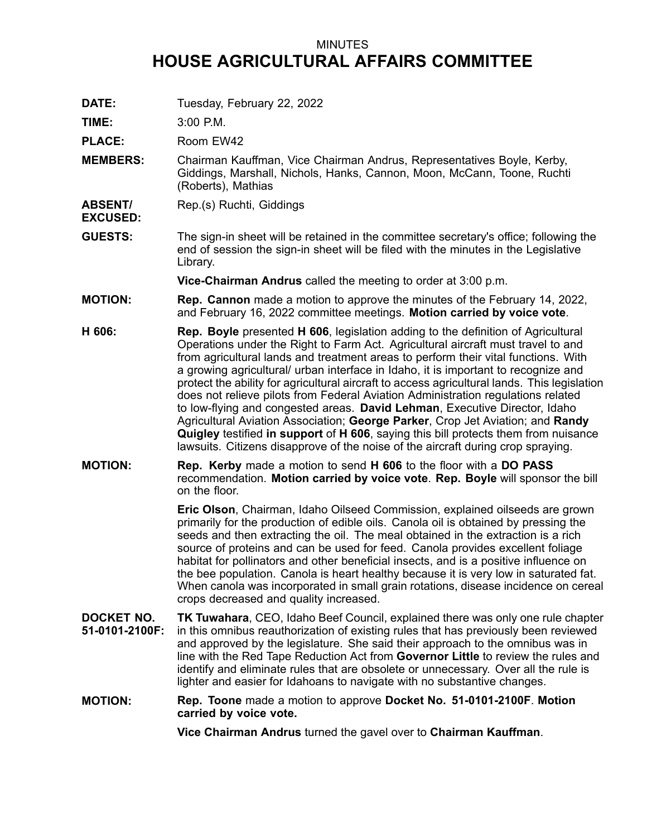## MINUTES **HOUSE AGRICULTURAL AFFAIRS COMMITTEE**

**DATE:** Tuesday, February 22, 2022

**TIME:** 3:00 P.M.

**EXCUSED:**

PLACE: Room EW42

- **MEMBERS:** Chairman Kauffman, Vice Chairman Andrus, Representatives Boyle, Kerby, Giddings, Marshall, Nichols, Hanks, Cannon, Moon, McCann, Toone, Ruchti (Roberts), Mathias
- **ABSENT/** Rep.(s) Ruchti, Giddings
- **GUESTS:** The sign-in sheet will be retained in the committee secretary's office; following the end of session the sign-in sheet will be filed with the minutes in the Legislative Library.

**Vice-Chairman Andrus** called the meeting to order at 3:00 p.m.

- **MOTION: Rep. Cannon** made <sup>a</sup> motion to approve the minutes of the February 14, 2022, and February 16, 2022 committee meetings. **Motion carried by voice vote**.
- **H 606: Rep. Boyle** presented **H 606**, legislation adding to the definition of Agricultural Operations under the Right to Farm Act. Agricultural aircraft must travel to and from agricultural lands and treatment areas to perform their vital functions. With <sup>a</sup> growing agricultural/ urban interface in Idaho, it is important to recognize and protect the ability for agricultural aircraft to access agricultural lands. This legislation does not relieve pilots from Federal Aviation Administration regulations related to low-flying and congested areas. **David Lehman**, Executive Director, Idaho Agricultural Aviation Association; **George Parker**, Crop Jet Aviation; and **Randy Quigley** testified **in support** of **H 606**, saying this bill protects them from nuisance lawsuits. Citizens disapprove of the noise of the aircraft during crop spraying.
- **MOTION: Rep. Kerby** made <sup>a</sup> motion to send **H 606** to the floor with <sup>a</sup> **DO PASS** recommendation. **Motion carried by voice vote**. **Rep. Boyle** will sponsor the bill on the floor.

**Eric Olson**, Chairman, Idaho Oilseed Commission, explained oilseeds are grown primarily for the production of edible oils. Canola oil is obtained by pressing the seeds and then extracting the oil. The meal obtained in the extraction is <sup>a</sup> rich source of proteins and can be used for feed. Canola provides excellent foliage habitat for pollinators and other beneficial insects, and is <sup>a</sup> positive influence on the bee population. Canola is heart healthy because it is very low in saturated fat. When canola was incorporated in small grain rotations, disease incidence on cereal crops decreased and quality increased.

- **DOCKET NO. 51-0101-2100F: TK Tuwahara**, CEO, Idaho Beef Council, explained there was only one rule chapter in this omnibus reauthorization of existing rules that has previously been reviewed and approved by the legislature. She said their approach to the omnibus was in line with the Red Tape Reduction Act from **Governor Little** to review the rules and identify and eliminate rules that are obsolete or unnecessary. Over all the rule is lighter and easier for Idahoans to navigate with no substantive changes.
- **MOTION: Rep. Toone** made <sup>a</sup> motion to approve **Docket No. 51-0101-2100F**. **Motion carried by voice vote.**

**Vice Chairman Andrus** turned the gavel over to **Chairman Kauffman**.